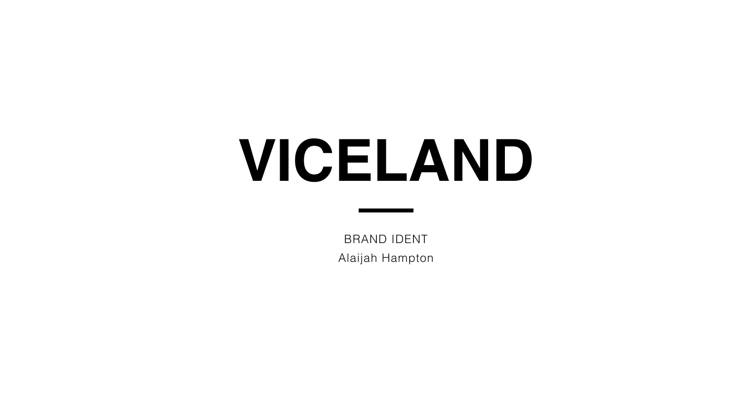# **VICELAND**

BRAND IDENT Alaijah Hampton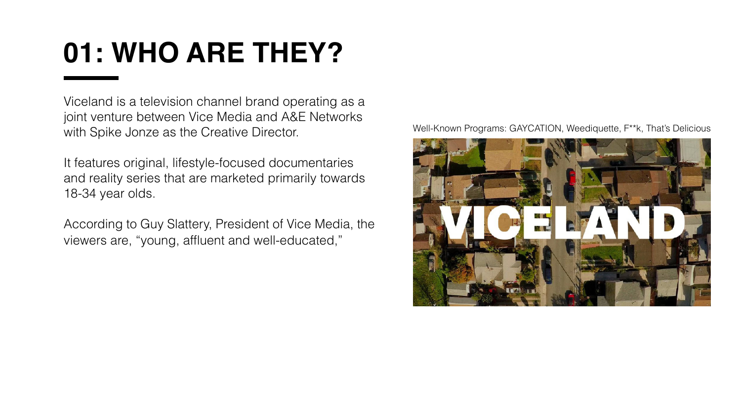# **01: WHO ARE THEY?**

Viceland is a television channel brand operating as a joint venture between Vice Media and A&E Networks with Spike Jonze as the Creative Director.

It features original, lifestyle-focused documentaries and reality series that are marketed primarily towards 18-34 year olds.

According to Guy Slattery, President of Vice Media, the viewers are, "young, affluent and well-educated,"

#### Well-Known Programs: GAYCATION, Weediquette, F\*\*k, That's Delicious

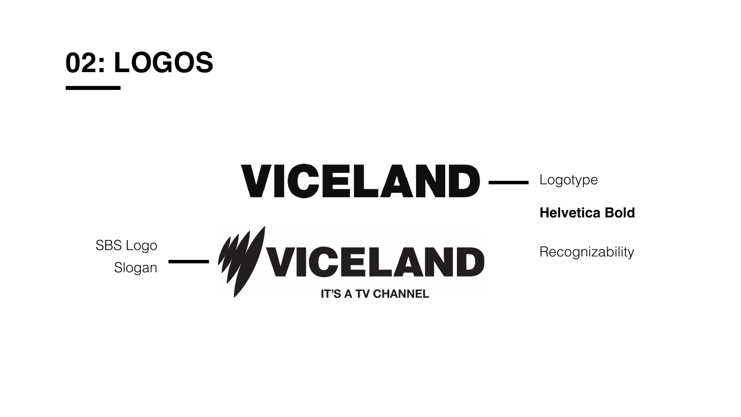# **02: LOGOS**

## VICELAND— Logotype **Helvetica Bold** SBS Logo **SBS Logo** Recognizability Slogan

**IT'S A TV CHANNEL**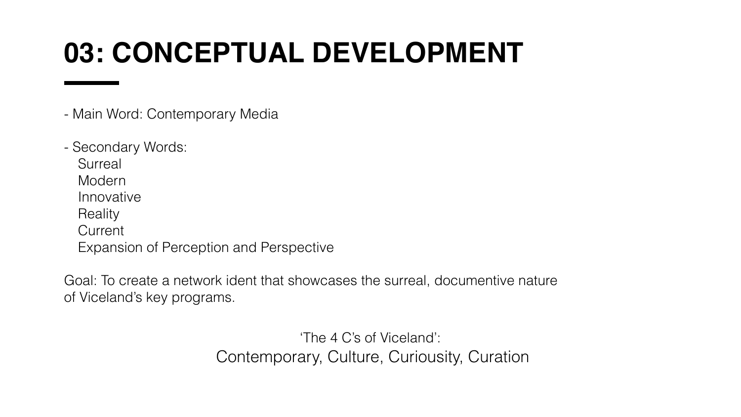# **03: CONCEPTUAL DEVELOPMENT**

- Main Word: Contemporary Media
- Secondary Words: **Surreal** Modern Innovative **Reality Current** Expansion of Perception and Perspective

Goal: To create a network ident that showcases the surreal, documentive nature of Viceland's key programs.

> 'The 4 C's of Viceland': Contemporary, Culture, Curiousity, Curation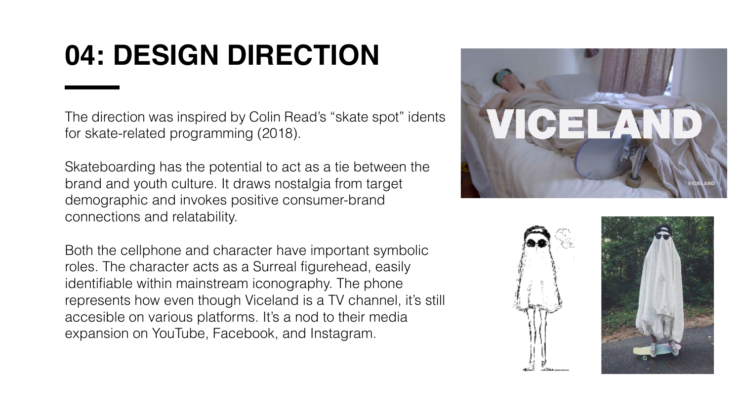# **04: DESIGN DIRECTION**

The direction was inspired by Colin Read's "skate spot" idents for skate-related programming (2018).

Skateboarding has the potential to act as a tie between the brand and youth culture. It draws nostalgia from target demographic and invokes positive consumer-brand connections and relatability.

Both the cellphone and character have important symbolic roles. The character acts as a Surreal figurehead, easily identifiable within mainstream iconography. The phone represents how even though Viceland is a TV channel, it's still accesible on various platforms. It's a nod to their media expansion on YouTube, Facebook, and Instagram.

- 
-